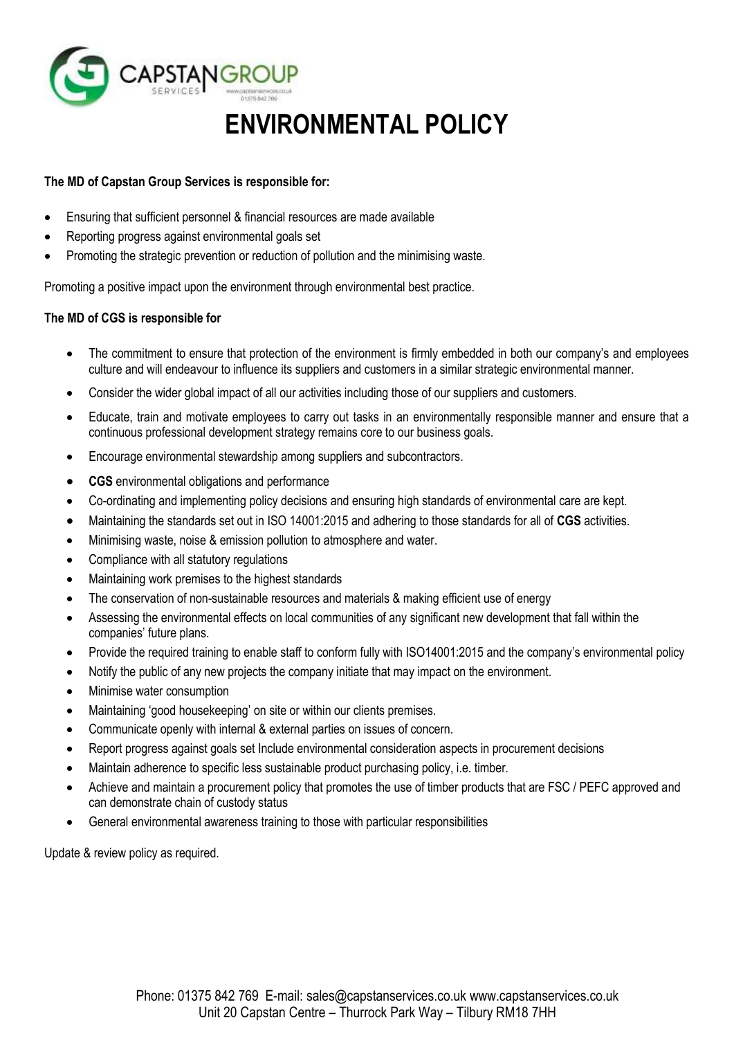

# **ENVIRONMENTAL POLICY**

## **The MD of Capstan Group Services is responsible for:**

- Ensuring that sufficient personnel & financial resources are made available
- Reporting progress against environmental goals set
- Promoting the strategic prevention or reduction of pollution and the minimising waste.

Promoting a positive impact upon the environment through environmental best practice.

## **The MD of CGS is responsible for**

- The commitment to ensure that protection of the environment is firmly embedded in both our company's and employees culture and will endeavour to influence its suppliers and customers in a similar strategic environmental manner.
- Consider the wider global impact of all our activities including those of our suppliers and customers.
- Educate, train and motivate employees to carry out tasks in an environmentally responsible manner and ensure that a continuous professional development strategy remains core to our business goals.
- Encourage environmental stewardship among suppliers and subcontractors.
- **CGS** environmental obligations and performance
- Co-ordinating and implementing policy decisions and ensuring high standards of environmental care are kept.
- Maintaining the standards set out in ISO 14001:2015 and adhering to those standards for all of **CGS** activities.
- Minimising waste, noise & emission pollution to atmosphere and water.
- Compliance with all statutory regulations
- Maintaining work premises to the highest standards
- The conservation of non-sustainable resources and materials & making efficient use of energy
- Assessing the environmental effects on local communities of any significant new development that fall within the companies' future plans.
- Provide the required training to enable staff to conform fully with ISO14001:2015 and the company's environmental policy
- Notify the public of any new projects the company initiate that may impact on the environment.
- Minimise water consumption
- Maintaining 'good housekeeping' on site or within our clients premises.
- Communicate openly with internal & external parties on issues of concern.
- Report progress against goals set Include environmental consideration aspects in procurement decisions
- Maintain adherence to specific less sustainable product purchasing policy, i.e. timber.
- Achieve and maintain a procurement policy that promotes the use of timber products that are FSC / PEFC approved and can demonstrate chain of custody status
- General environmental awareness training to those with particular responsibilities

Update & review policy as required.